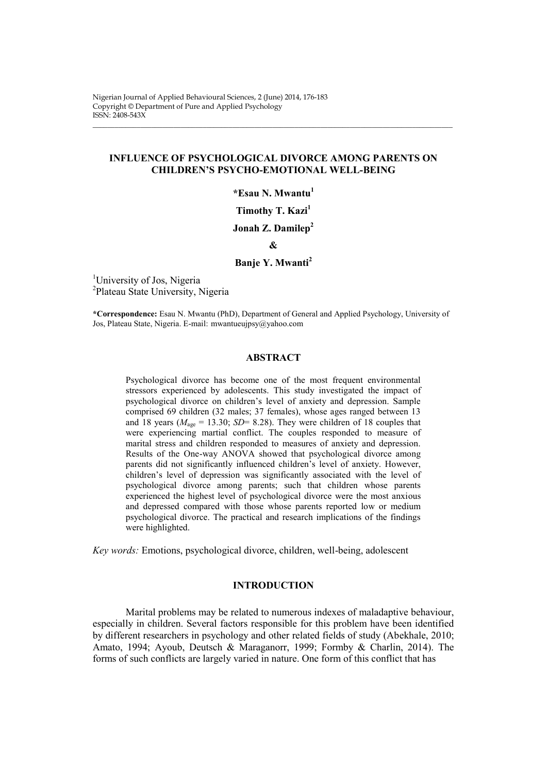Nigerian Journal of Applied Behavioural Sciences, 2 (June) 2014, 176-183 Copyright © Department of Pure and Applied Psychology ISSN: 2408-543X

## **INFLUENCE OF PSYCHOLOGICAL DIVORCE AMONG PARENTS ON CHILDREN'S PSYCHO-EMOTIONAL WELL-BEING**

\_\_\_\_\_\_\_\_\_\_\_\_\_\_\_\_\_\_\_\_\_\_\_\_\_\_\_\_\_\_\_\_\_\_\_\_\_\_\_\_\_\_\_\_\_\_\_\_\_\_\_\_\_\_\_\_\_\_\_\_\_\_\_\_\_\_\_\_\_\_\_\_\_\_\_\_\_\_\_\_\_\_\_\_\_\_\_\_\_\_\_\_\_\_\_\_\_\_

**\*Esau N. Mwantu<sup>1</sup>**

**Timothy T. Kazi<sup>1</sup>**

**Jonah Z. Damilep<sup>2</sup>**

**&**

## **Banje Y. Mwanti<sup>2</sup>**

<sup>1</sup>University of Jos, Nigeria <sup>2</sup>Plateau State University, Nigeria

**\*Correspondence:** Esau N. Mwantu (PhD), Department of General and Applied Psychology, University of Jos, Plateau State, Nigeria. E-mail: mwantueujpsy@yahoo.com

## **ABSTRACT**

Psychological divorce has become one of the most frequent environmental stressors experienced by adolescents. This study investigated the impact of psychological divorce on children's level of anxiety and depression. Sample comprised 69 children (32 males; 37 females), whose ages ranged between 13 and 18 years ( $M_{\text{age}} = 13.30$ ; *SD*= 8.28). They were children of 18 couples that were experiencing martial conflict. The couples responded to measure of marital stress and children responded to measures of anxiety and depression. Results of the One-way ANOVA showed that psychological divorce among parents did not significantly influenced children's level of anxiety. However, children's level of depression was significantly associated with the level of psychological divorce among parents; such that children whose parents experienced the highest level of psychological divorce were the most anxious and depressed compared with those whose parents reported low or medium psychological divorce. The practical and research implications of the findings were highlighted.

*Key words:* Emotions, psychological divorce, children, well-being, adolescent

## **INTRODUCTION**

Marital problems may be related to numerous indexes of maladaptive behaviour, especially in children. Several factors responsible for this problem have been identified by different researchers in psychology and other related fields of study (Abekhale, 2010; Amato, 1994; Ayoub, Deutsch & Maraganorr, 1999; Formby & Charlin, 2014). The forms of such conflicts are largely varied in nature. One form of this conflict that has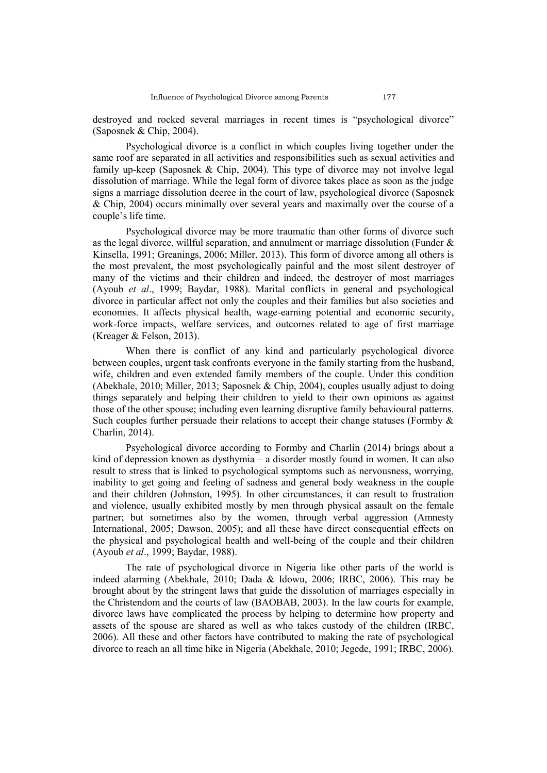destroyed and rocked several marriages in recent times is "psychological divorce" (Saposnek & Chip, 2004).

Psychological divorce is a conflict in which couples living together under the same roof are separated in all activities and responsibilities such as sexual activities and family up-keep (Saposnek & Chip, 2004). This type of divorce may not involve legal dissolution of marriage. While the legal form of divorce takes place as soon as the judge signs a marriage dissolution decree in the court of law, psychological divorce (Saposnek & Chip, 2004) occurs minimally over several years and maximally over the course of a couple's life time.

Psychological divorce may be more traumatic than other forms of divorce such as the legal divorce, willful separation, and annulment or marriage dissolution (Funder  $\&$ Kinsella, 1991; Greanings, 2006; Miller, 2013). This form of divorce among all others is the most prevalent, the most psychologically painful and the most silent destroyer of many of the victims and their children and indeed, the destroyer of most marriages (Ayoub *et al*., 1999; Baydar, 1988). Marital conflicts in general and psychological divorce in particular affect not only the couples and their families but also societies and economies. It affects physical health, wage-earning potential and economic security, work-force impacts, welfare services, and outcomes related to age of first marriage (Kreager & Felson, 2013).

When there is conflict of any kind and particularly psychological divorce between couples, urgent task confronts everyone in the family starting from the husband, wife, children and even extended family members of the couple. Under this condition (Abekhale, 2010; Miller, 2013; Saposnek & Chip, 2004), couples usually adjust to doing things separately and helping their children to yield to their own opinions as against those of the other spouse; including even learning disruptive family behavioural patterns. Such couples further persuade their relations to accept their change statuses (Formby  $\&$ Charlin, 2014).

Psychological divorce according to Formby and Charlin (2014) brings about a kind of depression known as dysthymia – a disorder mostly found in women. It can also result to stress that is linked to psychological symptoms such as nervousness, worrying, inability to get going and feeling of sadness and general body weakness in the couple and their children (Johnston, 1995). In other circumstances, it can result to frustration and violence, usually exhibited mostly by men through physical assault on the female partner; but sometimes also by the women, through verbal aggression (Amnesty International, 2005; Dawson, 2005); and all these have direct consequential effects on the physical and psychological health and well-being of the couple and their children (Ayoub *et al*., 1999; Baydar, 1988).

The rate of psychological divorce in Nigeria like other parts of the world is indeed alarming (Abekhale, 2010; Dada & Idowu, 2006; IRBC, 2006). This may be brought about by the stringent laws that guide the dissolution of marriages especially in the Christendom and the courts of law (BAOBAB, 2003). In the law courts for example, divorce laws have complicated the process by helping to determine how property and assets of the spouse are shared as well as who takes custody of the children (IRBC, 2006). All these and other factors have contributed to making the rate of psychological divorce to reach an all time hike in Nigeria (Abekhale, 2010; Jegede, 1991; IRBC, 2006).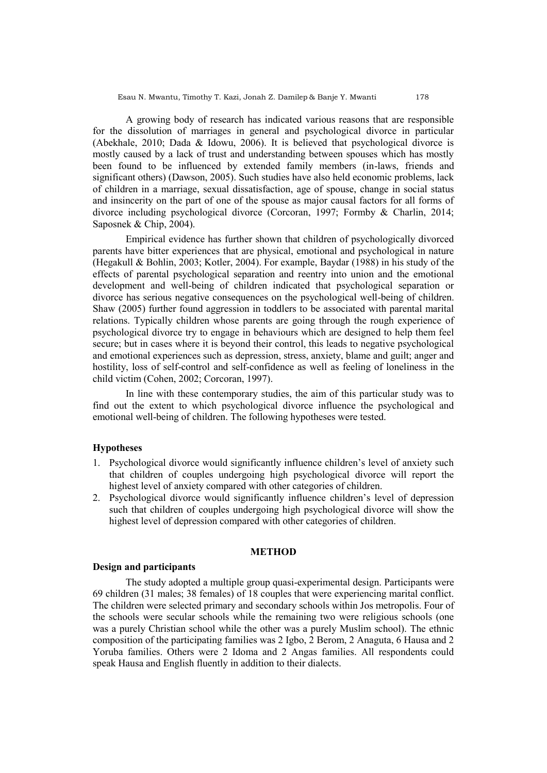A growing body of research has indicated various reasons that are responsible for the dissolution of marriages in general and psychological divorce in particular (Abekhale, 2010; Dada & Idowu, 2006). It is believed that psychological divorce is mostly caused by a lack of trust and understanding between spouses which has mostly been found to be influenced by extended family members (in-laws, friends and significant others) (Dawson, 2005). Such studies have also held economic problems, lack of children in a marriage, sexual dissatisfaction, age of spouse, change in social status and insincerity on the part of one of the spouse as major causal factors for all forms of divorce including psychological divorce (Corcoran, 1997; Formby & Charlin, 2014; Saposnek & Chip, 2004).

Empirical evidence has further shown that children of psychologically divorced parents have bitter experiences that are physical, emotional and psychological in nature (Hegakull & Bohlin, 2003; Kotler, 2004). For example, Baydar (1988) in his study of the effects of parental psychological separation and reentry into union and the emotional development and well-being of children indicated that psychological separation or divorce has serious negative consequences on the psychological well-being of children. Shaw (2005) further found aggression in toddlers to be associated with parental marital relations. Typically children whose parents are going through the rough experience of psychological divorce try to engage in behaviours which are designed to help them feel secure; but in cases where it is beyond their control, this leads to negative psychological and emotional experiences such as depression, stress, anxiety, blame and guilt; anger and hostility, loss of self-control and self-confidence as well as feeling of loneliness in the child victim (Cohen, 2002; Corcoran, 1997).

In line with these contemporary studies, the aim of this particular study was to find out the extent to which psychological divorce influence the psychological and emotional well-being of children. The following hypotheses were tested.

## **Hypotheses**

- 1. Psychological divorce would significantly influence children's level of anxiety such that children of couples undergoing high psychological divorce will report the highest level of anxiety compared with other categories of children.
- 2. Psychological divorce would significantly influence children's level of depression such that children of couples undergoing high psychological divorce will show the highest level of depression compared with other categories of children.

## **METHOD**

## **Design and participants**

The study adopted a multiple group quasi-experimental design. Participants were 69 children (31 males; 38 females) of 18 couples that were experiencing marital conflict. The children were selected primary and secondary schools within Jos metropolis. Four of the schools were secular schools while the remaining two were religious schools (one was a purely Christian school while the other was a purely Muslim school). The ethnic composition of the participating families was 2 Igbo, 2 Berom, 2 Anaguta, 6 Hausa and 2 Yoruba families. Others were 2 Idoma and 2 Angas families. All respondents could speak Hausa and English fluently in addition to their dialects.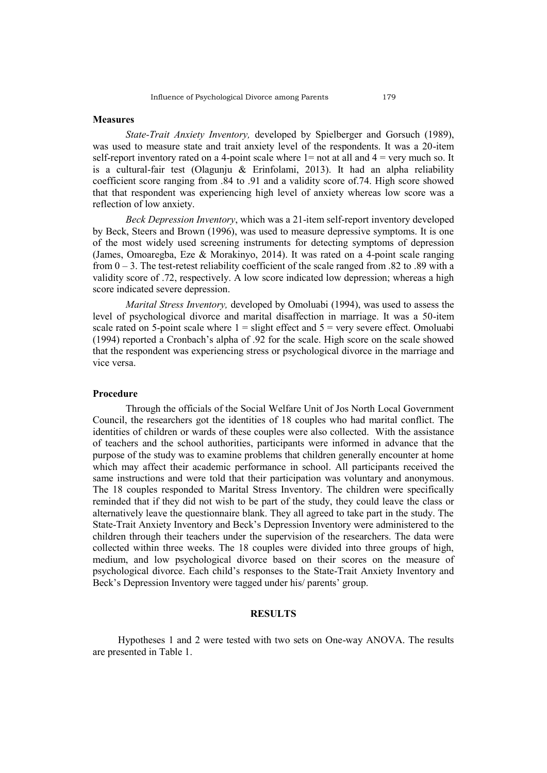## **Measures**

*State-Trait Anxiety Inventory,* developed by Spielberger and Gorsuch (1989), was used to measure state and trait anxiety level of the respondents. It was a 20-item self-report inventory rated on a 4-point scale where  $1=$  not at all and  $4=$  very much so. It is a cultural-fair test (Olagunju  $\&$  Erinfolami, 2013). It had an alpha reliability coefficient score ranging from .84 to .91 and a validity score of.74. High score showed that that respondent was experiencing high level of anxiety whereas low score was a reflection of low anxiety.

*Beck Depression Inventory*, which was a 21-item self-report inventory developed by Beck, Steers and Brown (1996), was used to measure depressive symptoms. It is one of the most widely used screening instruments for detecting symptoms of depression (James, Omoaregba, Eze & Morakinyo, 2014). It was rated on a 4-point scale ranging from  $0 - 3$ . The test-retest reliability coefficient of the scale ranged from .82 to .89 with a validity score of .72, respectively. A low score indicated low depression; whereas a high score indicated severe depression.

*Marital Stress Inventory,* developed by Omoluabi (1994), was used to assess the level of psychological divorce and marital disaffection in marriage. It was a 50-item scale rated on 5-point scale where  $1 =$  slight effect and  $5 =$  very severe effect. Omoluabi (1994) reported a Cronbach's alpha of .92 for the scale. High score on the scale showed that the respondent was experiencing stress or psychological divorce in the marriage and vice versa.

#### **Procedure**

Through the officials of the Social Welfare Unit of Jos North Local Government Council, the researchers got the identities of 18 couples who had marital conflict. The identities of children or wards of these couples were also collected. With the assistance of teachers and the school authorities, participants were informed in advance that the purpose of the study was to examine problems that children generally encounter at home which may affect their academic performance in school. All participants received the same instructions and were told that their participation was voluntary and anonymous. The 18 couples responded to Marital Stress Inventory. The children were specifically reminded that if they did not wish to be part of the study, they could leave the class or alternatively leave the questionnaire blank. They all agreed to take part in the study. The State-Trait Anxiety Inventory and Beck's Depression Inventory were administered to the children through their teachers under the supervision of the researchers. The data were collected within three weeks. The 18 couples were divided into three groups of high, medium, and low psychological divorce based on their scores on the measure of psychological divorce. Each child's responses to the State-Trait Anxiety Inventory and Beck's Depression Inventory were tagged under his/ parents' group.

## **RESULTS**

 Hypotheses 1 and 2 were tested with two sets on One-way ANOVA. The results are presented in Table 1.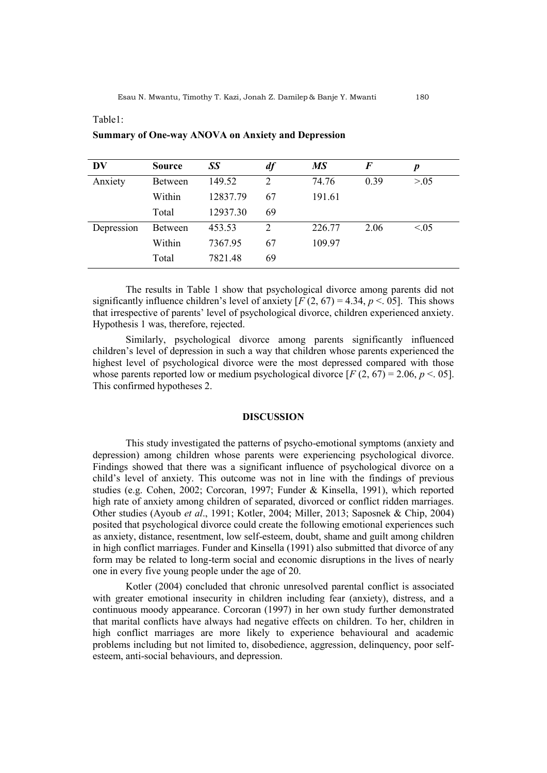# **DV Source** *SS df MS F p* Anxiety Between 149.52 2 74.76 0.39 >.05 Within 12837.79 67 191.61 Total 12937.30 69 Depression Between 453.53 2 226.77 2.06 <.05 Within 7367.95 67 109.97

## **Summary of One-way ANOVA on Anxiety and Depression**

Total 7821.48 69

Table1:

The results in Table 1 show that psychological divorce among parents did not significantly influence children's level of anxiety  $[F(2, 67) = 4.34, p \le 0.05]$ . This shows that irrespective of parents' level of psychological divorce, children experienced anxiety. Hypothesis 1 was, therefore, rejected.

Similarly, psychological divorce among parents significantly influenced children's level of depression in such a way that children whose parents experienced the highest level of psychological divorce were the most depressed compared with those whose parents reported low or medium psychological divorce  $[F(2, 67) = 2.06, p < .05]$ . This confirmed hypotheses 2.

#### **DISCUSSION**

This study investigated the patterns of psycho-emotional symptoms (anxiety and depression) among children whose parents were experiencing psychological divorce. Findings showed that there was a significant influence of psychological divorce on a child's level of anxiety. This outcome was not in line with the findings of previous studies (e.g. Cohen, 2002; Corcoran, 1997; Funder & Kinsella, 1991), which reported high rate of anxiety among children of separated, divorced or conflict ridden marriages. Other studies (Ayoub *et al*., 1991; Kotler, 2004; Miller, 2013; Saposnek & Chip, 2004) posited that psychological divorce could create the following emotional experiences such as anxiety, distance, resentment, low self-esteem, doubt, shame and guilt among children in high conflict marriages. Funder and Kinsella (1991) also submitted that divorce of any form may be related to long-term social and economic disruptions in the lives of nearly one in every five young people under the age of 20.

Kotler (2004) concluded that chronic unresolved parental conflict is associated with greater emotional insecurity in children including fear (anxiety), distress, and a continuous moody appearance. Corcoran (1997) in her own study further demonstrated that marital conflicts have always had negative effects on children. To her, children in high conflict marriages are more likely to experience behavioural and academic problems including but not limited to, disobedience, aggression, delinquency, poor selfesteem, anti-social behaviours, and depression.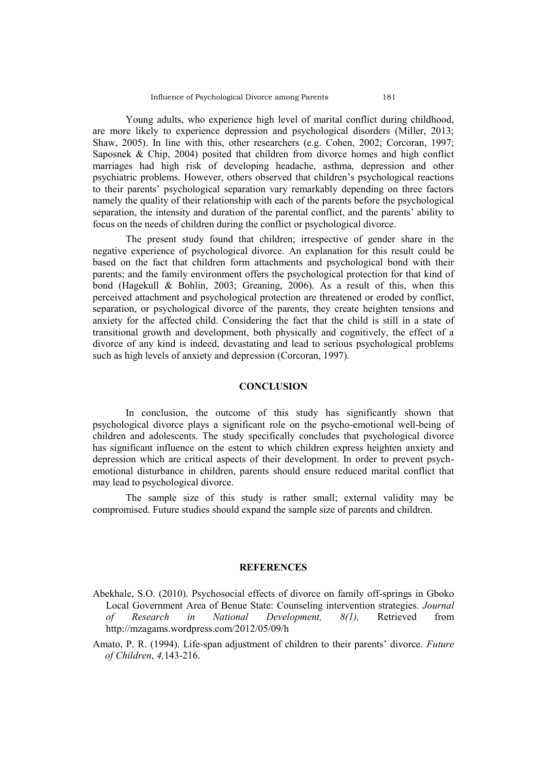Young adults, who experience high level of marital conflict during childhood, are more likely to experience depression and psychological disorders (Miller, 2013; Shaw, 2005). In line with this, other researchers (e.g. Cohen, 2002; Corcoran, 1997; Saposnek & Chip, 2004) posited that children from divorce homes and high conflict marriages had high risk of developing headache, asthma, depression and other psychiatric problems. However, others observed that children's psychological reactions to their parents' psychological separation vary remarkably depending on three factors namely the quality of their relationship with each of the parents before the psychological separation, the intensity and duration of the parental conflict, and the parents' ability to focus on the needs of children during the conflict or psychological divorce.

The present study found that children; irrespective of gender share in the negative experience of psychological divorce. An explanation for this result could be based on the fact that children form attachments and psychological bond with their parents; and the family environment offers the psychological protection for that kind of bond (Hagekull & Bohlin, 2003; Greaning, 2006). As a result of this, when this perceived attachment and psychological protection are threatened or eroded by conflict, separation, or psychological divorce of the parents, they create heighten tensions and anxiety for the affected child. Considering the fact that the child is still in a state of transitional growth and development, both physically and cognitively, the effect of a divorce of any kind is indeed, devastating and lead to serious psychological problems such as high levels of anxiety and depression (Corcoran, 1997).

## **CONCLUSION**

In conclusion, the outcome of this study has significantly shown that psychological divorce plays a significant role on the psycho-emotional well-being of children and adolescents. The study specifically concludes that psychological divorce has significant influence on the estent to which children express heighten anxiety and depression which are critical aspects of their development. In order to prevent psychemotional disturbance in children, parents should ensure reduced marital conflict that may lead to psychological divorce.

The sample size of this study is rather small; external validity may be compromised. Future studies should expand the sample size of parents and children.

## **REFERENCES**

- Abekhale, S.O. (2010). Psychosocial effects of divorce on family off-springs in Gboko Local Government Area of Benue State: Counseling intervention strategies. *Journal of Research in National Development, 8(1),* Retrieved from http://mzagams.wordpress.com/2012/05/09/h
- Amato, P. R. (1994). Life-span adjustment of children to their parents' divorce. *Future of Children*, *4,*143-216.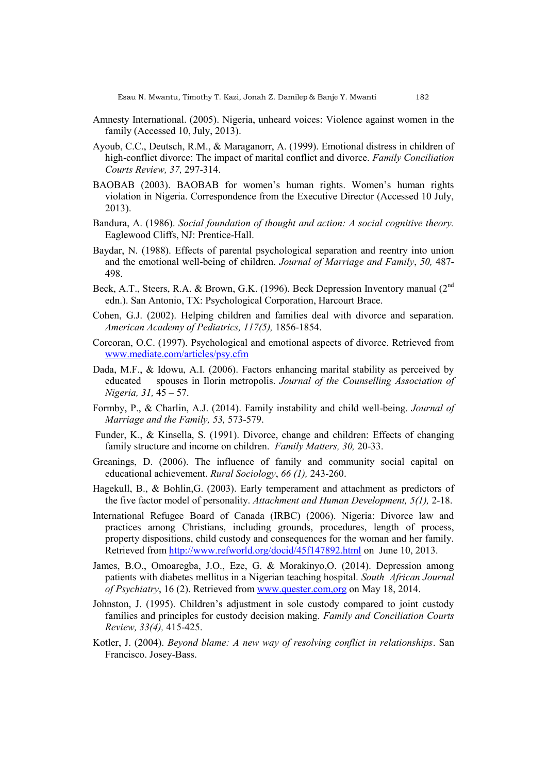- Amnesty International. (2005). Nigeria, unheard voices: Violence against women in the family (Accessed 10, July, 2013).
- Ayoub, C.C., Deutsch, R.M., & Maraganorr, A. (1999). Emotional distress in children of high-conflict divorce: The impact of marital conflict and divorce. *Family Conciliation Courts Review, 37,* 297-314.
- BAOBAB (2003). BAOBAB for women's human rights. Women's human rights violation in Nigeria. Correspondence from the Executive Director (Accessed 10 July, 2013).
- Bandura, A. (1986). *Social foundation of thought and action: A social cognitive theory.* Eaglewood Cliffs, NJ: Prentice-Hall.
- Baydar, N. (1988). Effects of parental psychological separation and reentry into union and the emotional well-being of children. *Journal of Marriage and Family*, *50,* 487- 498.
- Beck, A.T., Steers, R.A. & Brown, G.K. (1996). Beck Depression Inventory manual (2<sup>nd</sup>) edn.). San Antonio, TX: Psychological Corporation, Harcourt Brace.
- Cohen, G.J. (2002). Helping children and families deal with divorce and separation. *American Academy of Pediatrics, 117(5),* 1856-1854.
- Corcoran, O.C. (1997). Psychological and emotional aspects of divorce. Retrieved from [www.mediate.com/articles/psy.cfm](http://www.mediate.com/articles/psy.cfm)
- Dada, M.F., & Idowu, A.I. (2006). Factors enhancing marital stability as perceived by educated spouses in Ilorin metropolis. *Journal of the Counselling Association of Nigeria, 31,* 45 – 57.
- Formby, P., & Charlin, A.J. (2014). Family instability and child well-being. *Journal of Marriage and the Family, 53,* 573-579.
- Funder, K., & Kinsella, S. (1991). Divorce, change and children: Effects of changing family structure and income on children. *Family Matters, 30,* 20-33.
- Greanings, D. (2006). The influence of family and community social capital on educational achievement. *Rural Sociology*, *66 (1),* 243-260.
- Hagekull, B., & Bohlin,G. (2003). Early temperament and attachment as predictors of the five factor model of personality. *Attachment and Human Development, 5(1),* 2-18.
- International Refugee Board of Canada (IRBC) (2006). Nigeria: Divorce law and practices among Christians, including grounds, procedures, length of process, property dispositions, child custody and consequences for the woman and her family. Retrieved from<http://www.refworld.org/docid/45f147892.html> on June 10, 2013.
- James, B.O., Omoaregba, J.O., Eze, G. & Morakinyo,O. (2014). Depression among patients with diabetes mellitus in a Nigerian teaching hospital. *South African Journal of Psychiatry*, 16 (2). Retrieved from [www.quester.com,org](http://www.quester.com,org/) on May 18, 2014.
- Johnston, J. (1995). Children's adjustment in sole custody compared to joint custody families and principles for custody decision making. *Family and Conciliation Courts Review, 33(4),* 415-425.
- Kotler, J. (2004). *Beyond blame: A new way of resolving conflict in relationships*. San Francisco. Josey-Bass.